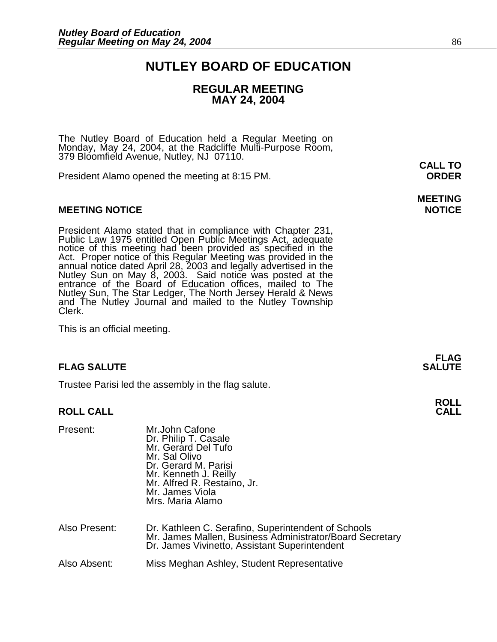### **NUTLEY BOARD OF EDUCATION**

### **REGULAR MEETING MAY 24, 2004**

The Nutley Board of Education held a Regular Meeting on Monday, May 24, 2004, at the Radcliffe Multi-Purpose Room, 379 Bloomfield Avenue, Nutley, NJ 07110.

President Alamo opened the meeting at 8:15 PM. **ORDER**

#### **MEETING NOTICE NOTICE REPORTS AND ALCOHOL**

President Alamo stated that in compliance with Chapter 231, Public Law 1975 entitled Open Public Meetings Act, adequate notice of this meeting had been provided as specified in the Act. Proper notice of this Regular Meeting was provided in the annual notice dated April 28, 2003 and legally advertised in the Nutley Sun on May 8, 2003. Said notice was posted at the entrance of the Board of Education offices, mailed to The Nutley Sun, The Star Ledger, The North Jersey Herald & News and The Nutley Journal and mailed to the Nutley Township Clerk.

This is an official meeting.

#### **FLAG SALUTE** SALUTE SALUTE SALUTE SALUTE SALUTE SALUTE SALUTE SALUTE SALUTE SALUTE SALUTE SALUTE SALUTE SALUTE SALUTE

Trustee Parisi led the assembly in the flag salute.

#### **ROLL CALL**

| Present:      | Mr.John Cafone<br>Dr. Philip T. Casale<br>Mr. Gerard Del Tufo<br>Mr. Sal Olivo<br>Dr. Gerard M. Parisi<br>Mr. Kenneth J. Reilly<br>Mr. Alfred R. Restaino, Jr.<br>Mr. James Viola<br>Mrs. Maria Alamo |
|---------------|-------------------------------------------------------------------------------------------------------------------------------------------------------------------------------------------------------|
| Also Present: | Dr. Kathleen C. Serafino, Superintendent of Schools<br>Mr. James Mallen, Business Administrator/Board Secretary<br>Dr. James Vivinetto, Assistant Superintendent                                      |
| Also Absent:  | Miss Meghan Ashley, Student Representative                                                                                                                                                            |

**CALL TO** 

## **MEETING**

**FLAG** 

## **ROLL**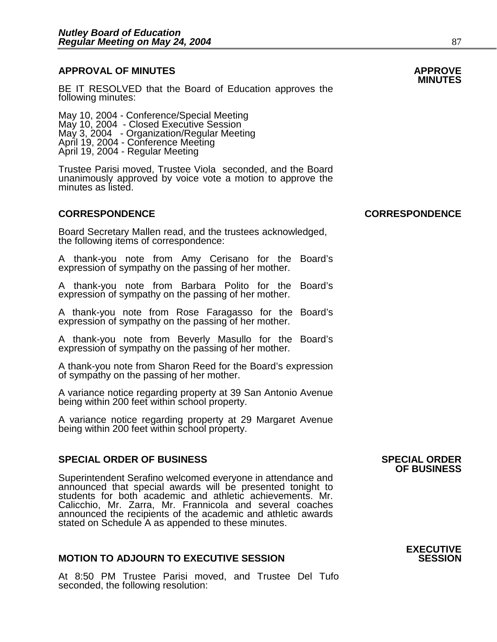### **APPROVAL OF MINUTES APPROVE**

**BE IT RESOLVED that the Board of Education approves the** following minutes:

May 10, 2004 - Conference/Special Meeting May 10, 2004 - Closed Executive Session May 3, 2004 - Organization/Regular Meeting April 19, 2004 - Conference Meeting April 19, 2004 - Regular Meeting

Trustee Parisi moved, Trustee Viola seconded, and the Board unanimously approved by voice vote a motion to approve the minutes as listed.

Board Secretary Mallen read, and the trustees acknowledged, the following items of correspondence:

A thank-you note from Amy Cerisano for the Board's expression of sympathy on the passing of her mother.

A thank-you note from Barbara Polito for the Board's expression of sympathy on the passing of her mother.

A thank-you note from Rose Faragasso for the Board's expression of sympathy on the passing of her mother.

A thank-you note from Beverly Masullo for the Board's expression of sympathy on the passing of her mother.

A thank-you note from Sharon Reed for the Board's expression of sympathy on the passing of her mother.

A variance notice regarding property at 39 San Antonio Avenue being within 200 feet within school property.

A variance notice regarding property at 29 Margaret Avenue being within 200 feet within school property.

#### **SPECIAL ORDER OF BUSINESS SPECIAL ORDER**

Superintendent Serafino welcomed everyone in attendance and announced that special awards will be presented tonight to students for both academic and athletic achievements. Mr. Calicchio, Mr. Zarra, Mr. Frannicola and several coaches announced the recipients of the academic and athletic awards stated on Schedule A as appended to these minutes.

#### **MOTION TO ADJOURN TO EXECUTIVE SESSION**

At 8:50 PM Trustee Parisi moved, and Trustee Del Tufo seconded, the following resolution:

## **OF BUSINESS**

**EXECUTIVE** 

**CORRESPONDENCE CORRESPONDENCE**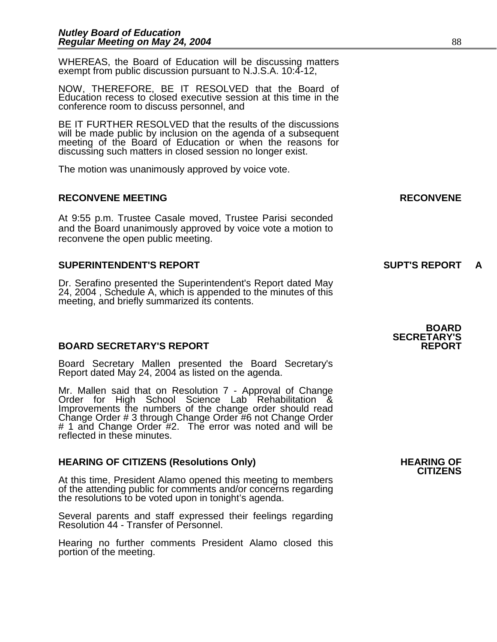WHEREAS, the Board of Education will be discussing matters exempt from public discussion pursuant to N.J.S.A. 10:4-12,

NOW, THEREFORE, BE IT RESOLVED that the Board of Education recess to closed executive session at this time in the conference room to discuss personnel, and

BE IT FURTHER RESOLVED that the results of the discussions will be made public by inclusion on the agenda of a subsequent meeting of the Board of Education or when the reasons for discussing such matters in closed session no longer exist.

The motion was unanimously approved by voice vote.

#### **RECONVENE MEETING RECONVENE**

At 9:55 p.m. Trustee Casale moved, Trustee Parisi seconded and the Board unanimously approved by voice vote a motion to reconvene the open public meeting.

#### **SUPERINTENDENT'S REPORT SUPT'S REPORT**

Dr. Serafino presented the Superintendent's Report dated May 24, 2004 , Schedule A, which is appended to the minutes of this meeting, and briefly summarized its contents.

#### **BOARD SECRETARY'S REPORT**

Board Secretary Mallen presented the Board Secretary's Report dated May 24, 2004 as listed on the agenda.

Mr. Mallen said that on Resolution 7 - Approval of Change Order for High School Science Lab Rehabilitation & Improvements the numbers of the change order should read Change Order # 3 through Change Order #6 not Change Order # 1 and Change Order #2. The error was noted and will be reflected in these minutes.

### **HEARING OF CITIZENS (Resolutions Only) HEARING OF CITIZENS**

At this time, President Alamo opened this meeting to members of the attending public for comments and/or concerns regarding the resolutions to be voted upon in tonight's agenda.

Several parents and staff expressed their feelings regarding Resolution 44 - Transfer of Personnel.

Hearing no further comments President Alamo closed this portion of the meeting.

**BOARD SECRETARY'S**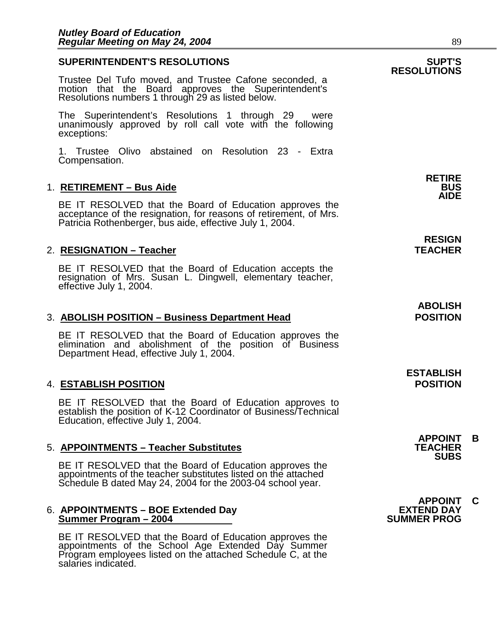### **SUPERINTENDENT'S RESOLUTIONS SUPT'S RESOLUTIONS**  Trustee Del Tufo moved, and Trustee Cafone seconded, a motion that the Board approves the Superintendent's Resolutions numbers 1 through 29 as listed below. The Superintendent's Resolutions 1 through 29 were unanimously approved by roll call vote with the following exceptions: 1. Trustee Olivo abstained on Resolution 23 - Extra Compensation. **RETIRE**  1. RETIREMENT - Bus Aide **AIDE**  BE IT RESOLVED that the Board of Education approves the acceptance of the resignation, for reasons of retirement, of Mrs. Patricia Rothenberger, bus aide, effective July 1, 2004. **RESIGN**  2. RESIGNATION – Teacher **TEACHER** BE IT RESOLVED that the Board of Education accepts the resignation of Mrs. Susan L. Dingwell, elementary teacher, effective July 1, 2004. **ABOLISH**

#### 3. **ABOLISH POSITION – Business Department Head POSITION**

BE IT RESOLVED that the Board of Education approves the elimination and abolishment of the position of Business Department Head, effective July 1, 2004.

#### 4. **ESTABLISH POSITION POSITION**

BE IT RESOLVED that the Board of Education approves to establish the position of K-12 Coordinator of Business/Technical Education, effective July 1, 2004.

#### **5. APPOINTMENTS – Teacher Substitutes**

BE IT RESOLVED that the Board of Education approves the appointments of the teacher substitutes listed on the attached Schedule B dated May 24, 2004 for the 2003-04 school year.

#### 6. **APPOINTMENTS – BOE Extended Day EXTEND DAY Summer Program – 2004**

BE IT RESOLVED that the Board of Education approves the appointments of the School Age Extended Day Summer Program employees listed on the attached Schedule C, at the salaries indicated.

**ESTABLISH** 

**APPOINT B SUBS** 

**APPOINT C**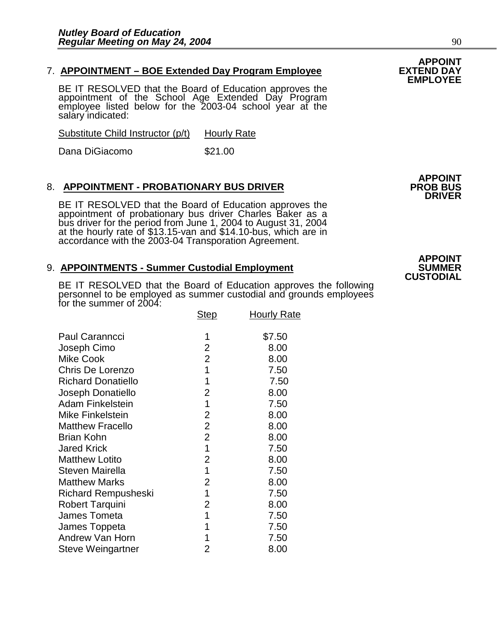### 7. **APPOINTMENT – BOE Extended Day Program Employee EXTEND DAY EMPLOYEE**

BE IT RESOLVED that the Board of Education approves the appointment of the School Age Extended Day Program employee listed below for the 2003-04 school year at the salary indicated:

Substitute Child Instructor (p/t) Hourly Rate

Dana DiGiacomo  $$21.00$ 

#### 8. APPOINTMENT - PROBATIONARY BUS DRIVER

BE IT RESOLVED that the Board of Education approves the appointment of probationary bus driver Charles Baker as a bus driver for the period from June 1, 2004 to August 31, 2004 at the hourly rate of \$13.15-van and \$14.10-bus, which are in accordance with the 2003-04 Transporation Agreement.

#### 9. **APPOINTMENTS - Summer Custodial Employment**

BE IT RESOLVED that the Board of Education approves the following personnel to be employed as summer custodial and grounds employees for the summer of 2004:

| TOT THE SUITHER OF ZUU4.   | <b>Step</b>    | <b>Hourly Rate</b> |
|----------------------------|----------------|--------------------|
| Paul Caranncci             | 1              | \$7.50             |
| Joseph Cimo                | 2              | 8.00               |
| <b>Mike Cook</b>           | $\overline{2}$ | 8.00               |
| Chris De Lorenzo           | 1              | 7.50               |
| <b>Richard Donatiello</b>  | 1              | 7.50               |
| Joseph Donatiello          | 2              | 8.00               |
| <b>Adam Finkelstein</b>    | 1              | 7.50               |
| <b>Mike Finkelstein</b>    | 2              | 8.00               |
| <b>Matthew Fracello</b>    | $\overline{2}$ | 8.00               |
| <b>Brian Kohn</b>          | $\overline{2}$ | 8.00               |
| <b>Jared Krick</b>         | 1              | 7.50               |
| <b>Matthew Lotito</b>      | 2              | 8.00               |
| <b>Steven Mairella</b>     | 1              | 7.50               |
| <b>Matthew Marks</b>       | $\overline{2}$ | 8.00               |
| <b>Richard Rempusheski</b> | 1              | 7.50               |
| <b>Robert Tarquini</b>     | $\overline{2}$ | 8.00               |
| James Tometa               | 1              | 7.50               |
| James Toppeta              | 1              | 7.50               |
| Andrew Van Horn            | 1              | 7.50               |
| <b>Steve Weingartner</b>   | 2              | 8.00               |

**APPOINT DRIVER** 

### **APPOINT CUSTODIAL**

# **APPOINT**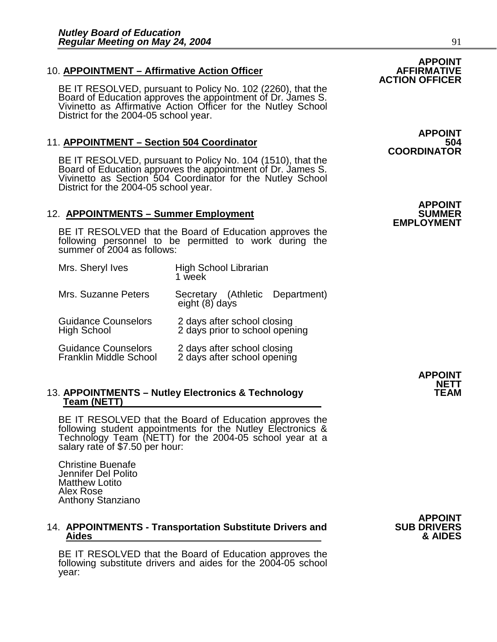#### 10. **APPOINTMENT – Affirmative Action Officer**

BE IT RESOLVED, pursuant to Policy No. 102 (2260), that the Board of Education approves the appointment of Dr. James S. Vivinetto as Affirmative Action Officer for the Nutley School District for the 2004-05 school year.

#### 11. **APPOINTMENT - Section 504 Coordinator**

BE IT RESOLVED, pursuant to Policy No. 104 (1510), that the Board of Education approves the appointment of Dr. James S. Vivinetto as Section 504 Coordinator for the Nutley School District for the 2004-05 school year.

#### 12. **APPOINTMENTS - Summer Employment**

BE IT RESOLVED that the Board of Education approves the following personnel to be permitted to work during the summer of 2004 as follows:

| Mrs. Sheryl Ives                                            | <b>High School Librarian</b><br>1 week                        |
|-------------------------------------------------------------|---------------------------------------------------------------|
| Mrs. Suzanne Peters                                         | Secretary (Athletic Department)<br>eight (8) days             |
| <b>Guidance Counselors</b><br><b>High School</b>            | 2 days after school closing<br>2 days prior to school opening |
| <b>Guidance Counselors</b><br><b>Franklin Middle School</b> | 2 days after school closing<br>2 days after school opening    |

## 13. **APPOINTMENTS – Nutley Electronics & Technology**<br>Team (NETT)

BE IT RESOLVED that the Board of Education approves the following student appointments for the Nutley Electronics & Technology Team (NETT) for the 2004-05 school year at a salary rate of \$7.50 per hour:

Christine Buenafe Jennifer Del Polito Matthew Lotito Alex Rose Anthony Stanziano

## 14. **APPOINTMENTS - Transportation Substitute Drivers and SUB DRIVERS Aides & AIDES**

BE IT RESOLVED that the Board of Education approves the following substitute drivers and aides for the 2004-05 school year:

**APPOINT<br>SUB DRIVERS** 

**APPOINT COORDINATOR** 

**APPOINT EMPLOYMENT** 

> **APPOINT NETT**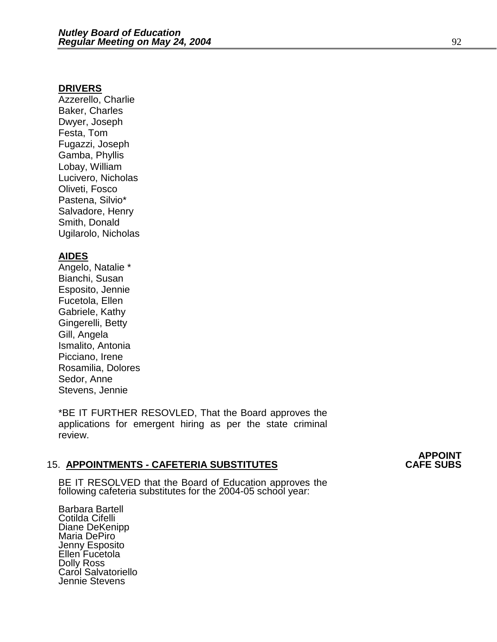#### **DRIVERS**

Azzerello, Charlie Baker, Charles Dwyer, Joseph Festa, Tom Fugazzi, Joseph Gamba, Phyllis Lobay, William Lucivero, Nicholas Oliveti, Fosco Pastena, Silvio\* Salvadore, Henry Smith, Donald Ugilarolo, Nicholas

#### **AIDES**

Angelo, Natalie \* Bianchi, Susan Esposito, Jennie Fucetola, Ellen Gabriele, Kathy Gingerelli, Betty Gill, Angela Ismalito, Antonia Picciano, Irene Rosamilia, Dolores Sedor, Anne Stevens, Jennie

\*BE IT FURTHER RESOVLED, That the Board approves the applications for emergent hiring as per the state criminal review.

#### **15. APPOINTMENTS - CAFETERIA SUBSTITUTES**

BE IT RESOLVED that the Board of Education approves the following cafeteria substitutes for the 2004-05 school year:

Barbara Bartell Cotilda Cifelli Diane DeKenipp Maria DePiro Jenny Esposito Ellen Fucetola Dolly Ross Caról Salvatoriello Jennie Stevens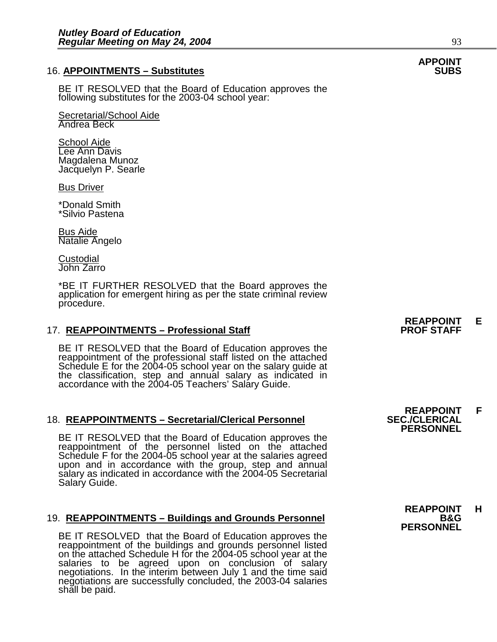#### **16. APPOINTMENTS – Substitutes**

BE IT RESOLVED that the Board of Education approves the following substitutes for the 2003-04 school year:

Secretarial/School Aide Andrea Beck

**School Aide** Lee Ann Davis Magdalena Munoz Jacquelyn P. Searle

Bus Driver

\*Donald Smith \*Silvio Pastena

Bus Aide Natalie Angelo

**Custodial** John Zarro

\*BE IT FURTHER RESOLVED that the Board approves the application for emergent hiring as per the state criminal review procedure.

#### 17. **REAPPOINTMENTS - Professional Staff**

BE IT RESOLVED that the Board of Education approves the reappointment of the professional staff listed on the attached Schedule E for the 2004-05 school year on the salary guide at the classification, step and annual salary as indicated in accordance with the 2004-05 Teachers' Salary Guide.

### 18. **REAPPOINTMENTS – Secretarial/Clerical Personnel SEC./CLERICAL PERSONNEL**

BE IT RESOLVED that the Board of Education approves the reappointment of the personnel listed on the attached Schedule F for the 2004-05 school year at the salaries agreed upon and in accordance with the group, step and annual salary as indicated in accordance with the 2004-05 Secretarial Salary Guide.

#### 19. **REAPPOINTMENTS – Buildings and Grounds Personnel**

BE IT RESOLVED that the Board of Education approves the reappointment of the buildings and grounds personnel listed on the attached Schedule H for the 2004-05 school year at the salaries to be agreed upon on conclusion of salary negotiations. In the interim between July 1 and the time said negotiations are successfully concluded, the 2003-04 salaries shall be paid.

**REAPPOINT E** 

**REAPPOINT F<br>SEC./CLERICAL** 

 **REAPPOINT H PERSONNEL**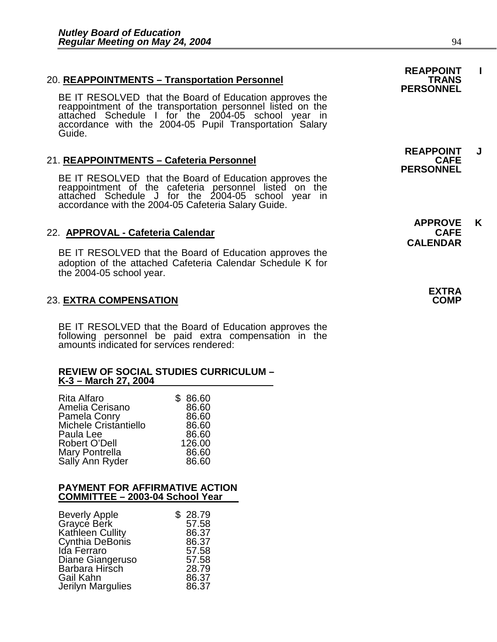### 20. **REAPPOINTMENTS - Transportation Personnel**

BE IT RESOLVED that the Board of Education approves the reappointment of the transportation personnel listed on the attached Schedule I for the 2004-05 school year in accordance with the 2004-05 Pupil Transportation Salary Guide.

#### 21. **REAPPOINTMENTS - Cafeteria Personnel**

BE IT RESOLVED that the Board of Education approves the reappointment of the cafeteria personnel listed on the attached Schedule J for the 2004-05 school year in accordance with the 2004-05 Cafeteria Salary Guide.

#### 22. **APPROVAL - Cafeteria Calendar**

BE IT RESOLVED that the Board of Education approves the adoption of the attached Cafeteria Calendar Schedule K for the 2004-05 school year.

#### 23. **EXTRA COMPENSATION COMP**

BE IT RESOLVED that the Board of Education approves the following personnel be paid extra compensation in the amounts indicated for services rendered:

#### **REVIEW OF SOCIAL STUDIES CURRICULUM – K-3 – March 27, 2004**

| \$86.60 |
|---------|
| 86.60   |
| 86.60   |
| 86.60   |
| 86.60   |
| 126.00  |
| 86.60   |
| 86.60   |
|         |

#### **PAYMENT FOR AFFIRMATIVE ACTION COMMITTEE – 2003-04 School Year**

| \$28.79 |
|---------|
| 57.58   |
| 86.37   |
| 86.37   |
| 57.58   |
| 57.58   |
| 28.79   |
| 86.37   |
| 86.37   |
|         |

**REAPPOINT I PERSONNEL** 

**REAPPOINT J PERSONNEL** 

**APPROVE K CALENDAR** 

 **EXTRA**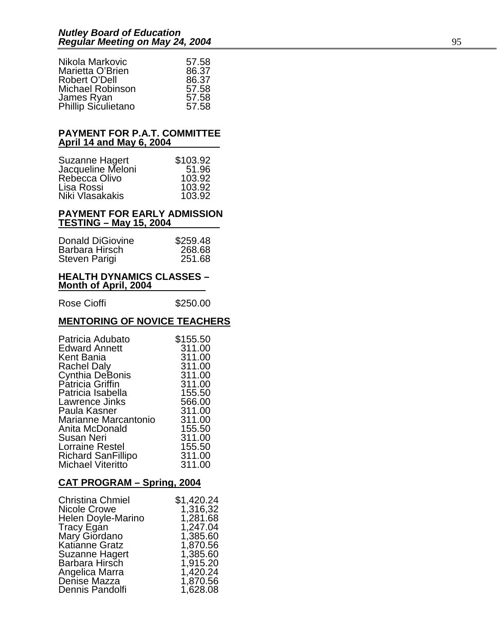| Nikola Markovic         | 57.58 |
|-------------------------|-------|
| Marietta O'Brien        | 86.37 |
| Robert O'Dell           | 86.37 |
| <b>Michael Robinson</b> | 57.58 |
| James Ryan              | 57.58 |
| Phillip Siculietano     | 57.58 |

#### **PAYMENT FOR P.A.T. COMMITTEE April 14 and May 6, 2004**

| \$103.92 |
|----------|
| 51.96    |
| 103.92   |
| 103.92   |
| 103.92   |
|          |

#### **PAYMENT FOR EARLY ADMISSION TESTING – May 15, 2004**

| <b>Donald DiGiovine</b> | \$259.48 |
|-------------------------|----------|
| Barbara Hirsch          | 268.68   |
| Steven Parigi           | 251.68   |

#### **HEALTH DYNAMICS CLASSES – Month of April, 2004**

Rose Cioffi **\$250.00** 

### **MENTORING OF NOVICE TEACHERS**

| Patricia Adubato          | \$155.50 |
|---------------------------|----------|
| <b>Edward Annett</b>      | 311.00   |
| Kent Bania                | 311.00   |
| <b>Rachel Daly</b>        | 311.00   |
| <b>Cynthia DeBonis</b>    | 311.00   |
| Patricia Griffin          | 311.00   |
| Patricia Isabella         | 155.50   |
| Lawrence Jinks            | 566.00   |
| Paula Kasner              | 311.00   |
| Marianne Marcantonio      | 311.00   |
| Anita McDonald            | 155.50   |
| Susan Neri                | 311.00   |
| Lorraine Restel           | 155.50   |
| <b>Richard SanFillipo</b> | 311.00   |
| Michael Viteritto         | 311.00   |

### **CAT PROGRAM – Spring, 2004**

| <b>Christina Chmiel</b> | \$1,420.24 |
|-------------------------|------------|
| Nicole Crowe            | 1,316,32   |
| Helen Doyle-Marino      | 1,281.68   |
| Tracy Egan              | 1,247.04   |
| Mary Giordano           | 1,385.60   |
| <b>Katianne Gratz</b>   | 1,870.56   |
| <b>Suzanne Hagert</b>   | 1,385.60   |
| Barbara Hirsch          | 1,915.20   |
| Angelica Marra          | 1,420.24   |
| Denise Mazza            | 1,870.56   |
| Dennis Pandolfi         | 1,628.08   |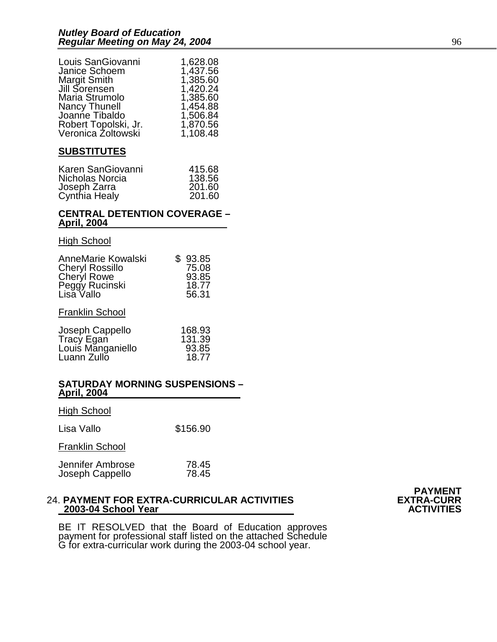| Louis SanGiovanni               | 1,628.08 |
|---------------------------------|----------|
| Janice Schoem                   | 1,437.56 |
| Margit Smith                    | 1,385.60 |
| Jill Sorensen                   | 1,420.24 |
| Maria Strumolo                  | 1,385.60 |
|                                 | 1,454.88 |
| Nancy Thunell<br>Joanne Tibaldo | 1,506.84 |
| Robert Topolski, Jr.            | 1,870.56 |
| Veronica Żoltowski              | 1,108.48 |

#### **SUBSTITUTES**

| Karen SanGiovanni | 415.68 |
|-------------------|--------|
| Nicholas Norcia   | 138.56 |
| Joseph Zarra      | 201.60 |
| Cynthia Healy     | 201.60 |

#### **CENTRAL DETENTION COVERAGE – April, 2004**

#### High School

| AnneMarie Kowalski<br><b>Cheryl Rossillo</b><br>Cheryl Rowe<br>Peggy Rucinski<br>Lisa Vallo | \$<br>93.85<br>75.08<br>93.85<br>18.77<br>56.31 |
|---------------------------------------------------------------------------------------------|-------------------------------------------------|
| <b>Franklin School</b>                                                                      |                                                 |
| Joseph Cappello<br>Tracy Egan<br>Louis Manganiello<br>Luann Zullo                           | 168.93<br>131.39<br>93.85<br>18.77              |

#### **SATURDAY MORNING SUSPENSIONS – April, 2004**

| <b>High School</b>                  |                |
|-------------------------------------|----------------|
| Lisa Vallo                          | \$156.90       |
| <b>Franklin School</b>              |                |
| Jennifer Ambrose<br>Joseph Cappello | 78.45<br>78.45 |

#### 24. **PAYMENT FOR EXTRA-CURRICULAR ACTIVITIES EXTRA-CURR 2003-04 School Year ACTIVITIES**



BE IT RESOLVED that the Board of Education approves payment for professional staff listed on the attached Schedule G for extra-curricular work during the 2003-04 school year.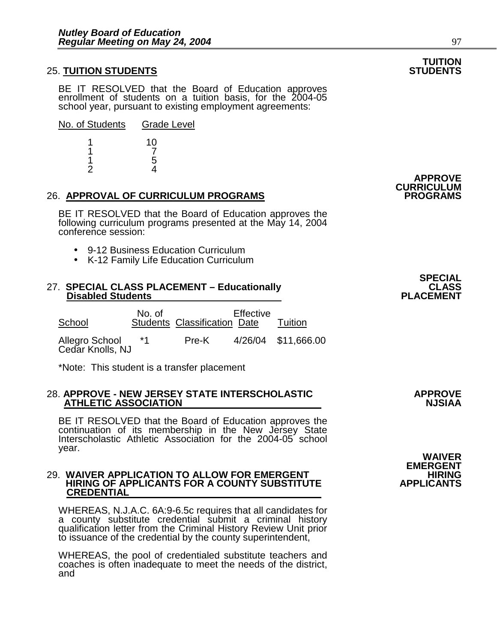#### **25. TUITION STUDENTS**

BE IT RESOLVED that the Board of Education approves enrollment of students on a tuition basis, for the 2004-05 school year, pursuant to existing employment agreements:

| No. of Students | <b>Grade Level</b> |
|-----------------|--------------------|
|                 | 10                 |
|                 |                    |
|                 |                    |

2 4

#### 26. **APPROVAL OF CURRICULUM PROGRAMS PROGRAMS**

BE IT RESOLVED that the Board of Education approves the following curriculum programs presented at the May 14, 2004 conference session:

- 9-12 Business Education Curriculum
- K-12 Family Life Education Curriculum

#### 27. **SPECIAL CLASS PLACEMENT – Educationally CLASS Disabled Students**

| School | No. of | Students Classification Date | Effective | Tuition |
|--------|--------|------------------------------|-----------|---------|
|        |        |                              |           |         |

Allegro School \*1 Pre-K 4/26/04 \$11,666.00 Cedar Knolls, NJ

\*Note: This student is a transfer placement

#### 28. **APPROVE - NEW JERSEY STATE INTERSCHOLASTIC APPROVE ATHLETIC ASSOCIATION**

BE IT RESOLVED that the Board of Education approves the continuation of its membership in the New Jersey State Interscholastic Athletic Association for the 2004-05 school year. year. **WAIVER** 

### 29. **WAIVER APPLICATION TO ALLOW FOR EMERGENT HIRING HIRING OF APPLICANTS FOR A COUNTY SUBSTITUTE**<br>CREDENTIAL

WHEREAS, N.J.A.C. 6A:9-6.5c requires that all candidates for a county substitute credential submit a criminal history qualification letter from the Criminal History Review Unit prior to issuance of the credential by the county superintendent,

WHEREAS, the pool of credentialed substitute teachers and coaches is often inadequate to meet the needs of the district, and

**EMERGENT<br>HIRING** 

## **TUITION**

**APPROVE CURRICULUM** 

**SPECIAL SECTION CONTROL**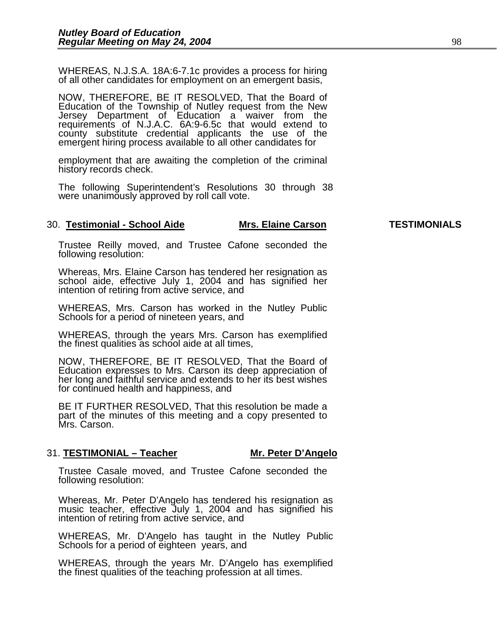WHEREAS, N.J.S.A. 18A:6-7.1c provides a process for hiring of all other candidates for employment on an emergent basis,

NOW, THEREFORE, BE IT RESOLVED, That the Board of Education of the Township of Nutley request from the New Jersey Department of Education a waiver from the requirements of N.J.A.C. 6A:9-6.5c that would extend to county substitute credential applicants the use of the emergent hiring process available to all other candidates for

employment that are awaiting the completion of the criminal history records check.

The following Superintendent's Resolutions 30 through 38 were unanimously approved by roll call vote.

#### 30. **Testimonial - School Aide Mrs. Elaine Carson TESTIMONIALS**

Trustee Reilly moved, and Trustee Cafone seconded the following resolution:

Whereas, Mrs. Elaine Carson has tendered her resignation as school aide, effective July 1, 2004 and has signified her intention of retiring from active service, and

WHEREAS, Mrs. Carson has worked in the Nutley Public Schools for a period of nineteen years, and

WHEREAS, through the years Mrs. Carson has exemplified the finest qualities as school aide at all times,

NOW, THEREFORE, BE IT RESOLVED, That the Board of Education expresses to Mrs. Carson its deep appreciation of her long and faithful service and extends to her its best wishes for continued health and happiness, and

BE IT FURTHER RESOLVED, That this resolution be made a part of the minutes of this meeting and a copy presented to Mrs. Carson.

#### 31. **TESTIMONIAL – Teacher Mr. Peter D'Angelo**

Trustee Casale moved, and Trustee Cafone seconded the following resolution:

Whereas, Mr. Peter D'Angelo has tendered his resignation as music teacher, effective July 1, 2004 and has signified his intention of retiring from active service, and

WHEREAS, Mr. D'Angelo has taught in the Nutley Public Schools for a period of eighteen years, and

WHEREAS, through the years Mr. D'Angelo has exemplified the finest qualities of the teaching profession at all times.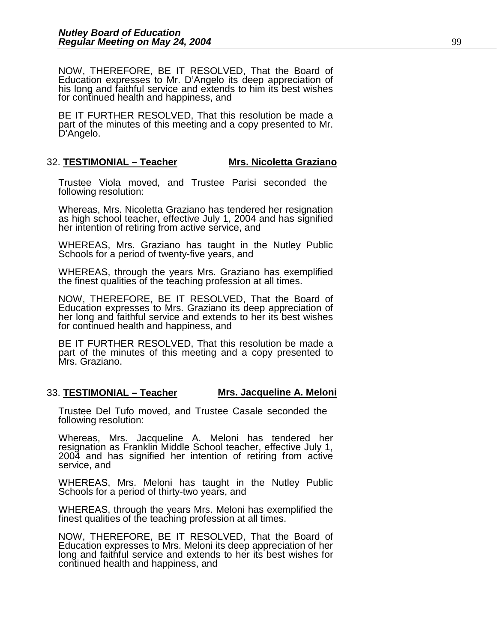NOW, THEREFORE, BE IT RESOLVED, That the Board of Education expresses to Mr. D'Angelo its deep appreciation of his long and faithful service and extends to him its best wishes for continued health and happiness, and

BE IT FURTHER RESOLVED, That this resolution be made a part of the minutes of this meeting and a copy presented to Mr. D'Angelo.

#### 32. **TESTIMONIAL – Teacher Mrs. Nicoletta Graziano**

Trustee Viola moved, and Trustee Parisi seconded the following resolution:

Whereas, Mrs. Nicoletta Graziano has tendered her resignation as high school teacher, effective July 1, 2004 and has signified her intention of retiring from active service, and

WHEREAS, Mrs. Graziano has taught in the Nutley Public Schools for a period of twenty-five years, and

WHEREAS, through the years Mrs. Graziano has exemplified the finest qualities of the teaching profession at all times.

NOW, THEREFORE, BE IT RESOLVED, That the Board of Education expresses to Mrs. Graziano its deep appreciation of her long and faithful service and extends to her its best wishes for continued health and happiness, and

BE IT FURTHER RESOLVED, That this resolution be made a part of the minutes of this meeting and a copy presented to Mrs. Graziano.

#### 33. **TESTIMONIAL – Teacher Mrs. Jacqueline A. Meloni**

Trustee Del Tufo moved, and Trustee Casale seconded the following resolution:

Whereas, Mrs. Jacqueline A. Meloni has tendered her resignation as Franklin Middle School teacher, effective July 1, 2004 and has signified her intention of retiring from active service, and

WHEREAS, Mrs. Meloni has taught in the Nutley Public Schools for a period of thirty-two years, and

WHEREAS, through the years Mrs. Meloni has exemplified the finest qualities of the teaching profession at all times.

NOW, THEREFORE, BE IT RESOLVED, That the Board of Education expresses to Mrs. Meloni its deep appreciation of her long and faithful service and extends to her its best wishes for continued health and happiness, and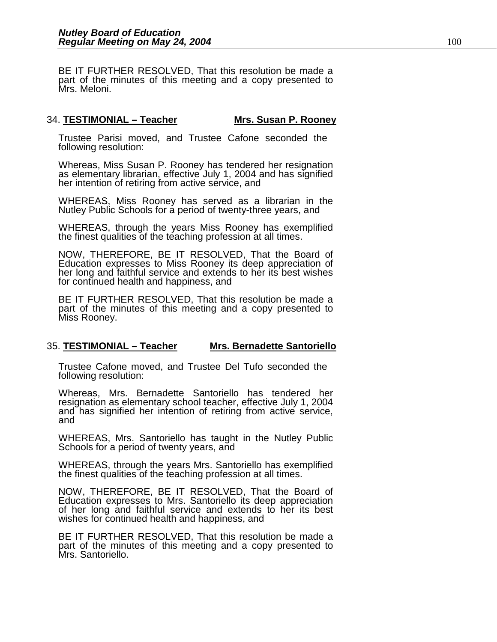BE IT FURTHER RESOLVED, That this resolution be made a part of the minutes of this meeting and a copy presented to Mrs. Meloni.

#### 34. **TESTIMONIAL – Teacher Mrs. Susan P. Rooney**

Trustee Parisi moved, and Trustee Cafone seconded the following resolution:

Whereas, Miss Susan P. Rooney has tendered her resignation as elementary librarian, effective July 1, 2004 and has signified her intention of retiring from active service, and

WHEREAS, Miss Rooney has served as a librarian in the Nutley Public Schools for a period of twenty-three years, and

WHEREAS, through the years Miss Rooney has exemplified the finest qualities of the teaching profession at all times.

NOW, THEREFORE, BE IT RESOLVED, That the Board of Education expresses to Miss Rooney its deep appreciation of her long and faithful service and extends to her its best wishes for continued health and happiness, and

BE IT FURTHER RESOLVED, That this resolution be made a part of the minutes of this meeting and a copy presented to Miss Rooney.

#### 35. **TESTIMONIAL – Teacher Mrs. Bernadette Santoriello**

Trustee Cafone moved, and Trustee Del Tufo seconded the following resolution:

Whereas, Mrs. Bernadette Santoriello has tendered her resignation as elementary school teacher, effective July 1, 2004 and has signified her intention of retiring from active service, and

WHEREAS, Mrs. Santoriello has taught in the Nutley Public Schools for a period of twenty years, and

WHEREAS, through the years Mrs. Santoriello has exemplified the finest qualities of the teaching profession at all times.

NOW, THEREFORE, BE IT RESOLVED, That the Board of Education expresses to Mrs. Santoriello its deep appreciation of her long and faithful service and extends to her its best wishes for continued health and happiness, and

BE IT FURTHER RESOLVED, That this resolution be made a part of the minutes of this meeting and a copy presented to Mrs. Santoriello.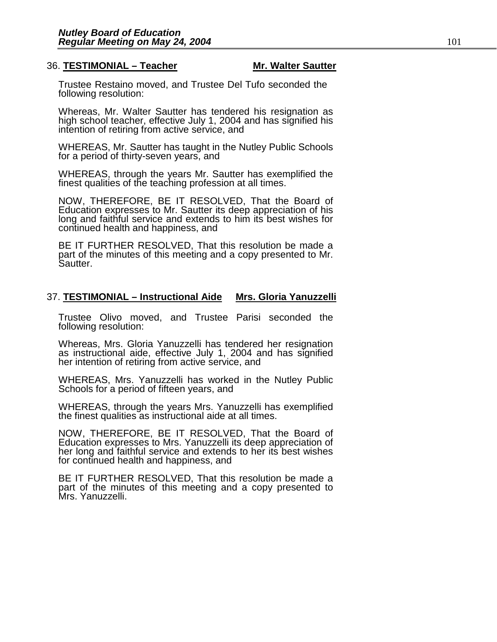#### 36. **TESTIMONIAL – Teacher Mr. Walter Sautter**

Trustee Restaino moved, and Trustee Del Tufo seconded the following resolution:

Whereas, Mr. Walter Sautter has tendered his resignation as high school teacher, effective July 1, 2004 and has signified his intention of retiring from active service, and

WHEREAS, Mr. Sautter has taught in the Nutley Public Schools for a period of thirty-seven years, and

WHEREAS, through the years Mr. Sautter has exemplified the finest qualities of the teaching profession at all times.

NOW, THEREFORE, BE IT RESOLVED, That the Board of Education expresses to Mr. Sautter its deep appreciation of his long and faithful service and extends to him its best wishes for continued health and happiness, and

BE IT FURTHER RESOLVED, That this resolution be made a part of the minutes of this meeting and a copy presented to Mr. Sautter.

#### 37. **TESTIMONIAL – Instructional Aide Mrs. Gloria Yanuzzelli**

Trustee Olivo moved, and Trustee Parisi seconded the following resolution:

Whereas, Mrs. Gloria Yanuzzelli has tendered her resignation as instructional aide, effective July 1, 2004 and has signified her intention of retiring from active service, and

WHEREAS, Mrs. Yanuzzelli has worked in the Nutley Public Schools for a period of fifteen years, and

WHEREAS, through the years Mrs. Yanuzzelli has exemplified the finest qualities as instructional aide at all times.

NOW, THEREFORE, BE IT RESOLVED, That the Board of Education expresses to Mrs. Yanuzzelli its deep appreciation of her long and faithful service and extends to her its best wishes for continued health and happiness, and

BE IT FURTHER RESOLVED, That this resolution be made a part of the minutes of this meeting and a copy presented to Mrs. Yanuzzelli.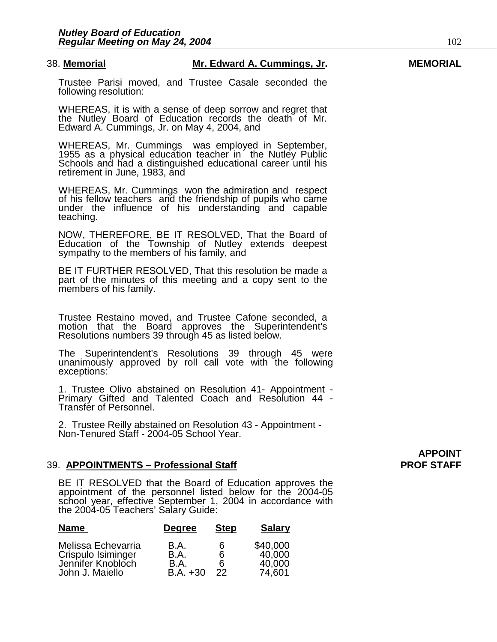#### 38. **Memorial Mr. Edward A. Cummings, Jr. MEMORIAL**

Trustee Parisi moved, and Trustee Casale seconded the following resolution:

WHEREAS, it is with a sense of deep sorrow and regret that the Nutley Board of Education records the death of Mr. Edward A. Cummings, Jr. on May 4, 2004, and

WHEREAS, Mr. Cummings was employed in September, 1955 as a physical education teacher in the Nutley Public Schools and had a distinguished educational career until his retirement in June, 1983, and

WHEREAS, Mr. Cummings won the admiration and respect of his fellow teachers and the friendship of pupils who came under the influence of his understanding and capable teaching.

NOW, THEREFORE, BE IT RESOLVED, That the Board of Education of the Township of Nutley extends deepest sympathy to the members of his family, and

BE IT FURTHER RESOLVED, That this resolution be made a part of the minutes of this meeting and a copy sent to the members of his family.

Trustee Restaino moved, and Trustee Cafone seconded, a motion that the Board approves the Superintendent's Resolutions numbers 39 through 45 as listed below.

The Superintendent's Resolutions 39 through 45 were unanimously approved by roll call vote with the following exceptions:

1. Trustee Olivo abstained on Resolution 41- Appointment - Primary Gifted and Talented Coach and Resolution 44 - Transfer of Personnel.

2. Trustee Reilly abstained on Resolution 43 - Appointment - Non-Tenured Staff - 2004-05 School Year.

#### 39. APPOINTMENTS – Professional Staff **PROF STAFF** PROF STAFF

BE IT RESOLVED that the Board of Education approves the appointment of the personnel listed below for the 2004-05 school year, effective September 1, 2004 in accordance with the 2004-05 Teachers' Salary Guide:

| <b>Name</b>                                                   | <b>Degree</b>        | <b>Step</b> | <b>Salary</b>                |
|---------------------------------------------------------------|----------------------|-------------|------------------------------|
| Melissa Echevarria<br>Crispulo Isiminger<br>Jennifer Knobloch | B.A.<br>B.A.<br>B.A. | 6<br>6<br>6 | \$40,000<br>40,000<br>40,000 |
| John J. Maiello                                               | $B.A. +30$           | 22          | 74,601                       |

**APPOINT**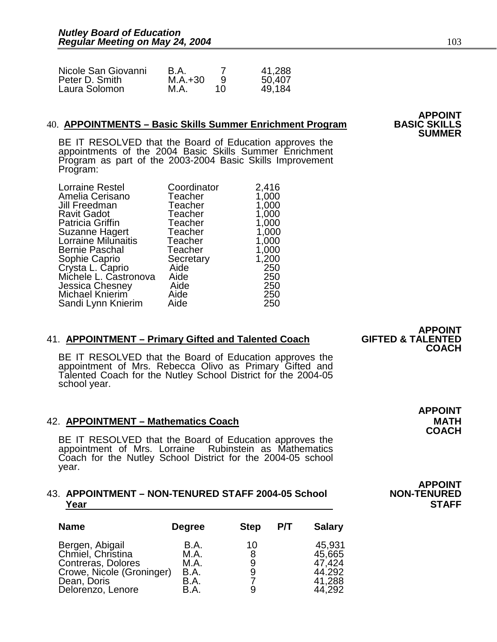| Nicole San Giovanni | B.A.      |    | 41,288 |
|---------------------|-----------|----|--------|
| Peter D. Smith      | $M.A.+30$ |    | 50,407 |
| Laura Solomon       | M.A.      | 10 | 49.184 |

## 40. **APPOINTMENTS – Basic Skills Summer Enrichment Program BASIC SKILLS SUMMER**

BE IT RESOLVED that the Board of Education approves the appointments of the 2004 Basic Skills Summer Enrichment Program as part of the 2003-2004 Basic Skills Improvement Program:

| <b>Lorraine Restel</b>  | Coordinator | 2,416 |
|-------------------------|-------------|-------|
| Amelia Cerisano         | Teacher     | 1,000 |
| Jill Freedman           | Teacher     | 1,000 |
| <b>Ravit Gadot</b>      | Teacher     | 1,000 |
| <b>Patricia Griffin</b> | Teacher     | 1,000 |
| Suzanne Hagert          | Teacher     | 1,000 |
| Lorraine Milunaitis     | Teacher     | 1,000 |
| Bernie Paschal          | Teacher     | 1,000 |
| Sophie Caprio           | Secretary   | 1,200 |
| Crysta L. Caprio        | Aide        | 250   |
| Michele L. Castronova   | Aide        | 250   |
| Jessica Chesney         | Aide        | 250   |
| Michael Knierim         | Aide        | 250   |
| Sandi Lynn Knierim      | Aide        | 250   |
|                         |             |       |

#### **41. APPOINTMENT – Primary Gifted and Talented Coach**

BE IT RESOLVED that the Board of Education approves the appointment of Mrs. Rebecca Olivo as Primary Gifted and Talented Coach for the Nutley School District for the 2004-05 school year.

#### 42. **APPOINTMENT – Mathematics Coach MATH MATH**

BE IT RESOLVED that the Board of Education approves the appointment of Mrs. Lorraine Rubinstein as Mathematics Coach for the Nutley School District for the 2004-05 school year.

#### **43. APPOINTMENT – NON-TENURED STAFF 2004-05 School** <u>Year STAFF </u>

| <b>Name</b>                                                                                                                 | <b>Degree</b>                                | <b>Step</b>       | P/T | <b>Salary</b>                                            |
|-----------------------------------------------------------------------------------------------------------------------------|----------------------------------------------|-------------------|-----|----------------------------------------------------------|
| Bergen, Abigail<br>Chmiel, Christina<br>Contreras, Dolores<br>Crowe, Nicole (Groninger)<br>Dean, Doris<br>Delorenzo, Lenore | B.A.<br>M.A.<br>M.A.<br>B.A.<br>B.A.<br>B.A. | 10<br>8<br>9<br>9 |     | 45,931<br>45,665<br>47,424<br>44.292<br>41,288<br>44,292 |

**APPOINT<br>GIFTED & TALENTED COACH** 

**APPOINT COACH** 

**APPOINT<br>NON-TENURED** 

**APPOINT<br>BASIC SKILLS**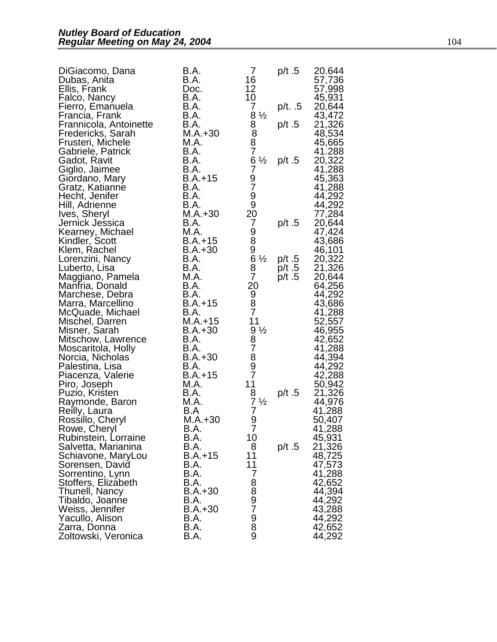| DiGiacomo, Dana<br>Dubas, Anita        | B.A.<br>B.A.           | 7<br>16                                                | p/t.5          | 20.644<br>57,736 |
|----------------------------------------|------------------------|--------------------------------------------------------|----------------|------------------|
| Ellis, Frank<br>Falco, Nancy           | Doc.<br>B.A.           | $\begin{array}{c} 12 \\ 10 \end{array}$                |                | 57,998<br>45,931 |
| Fierro, Emanuela<br>Francia, Frank     | B.A.<br>B.A.           | 7<br>$8\frac{1}{2}$                                    | p/t. .5        | 20,644<br>43,472 |
| Frannicola, Antoinette                 | B.A.                   |                                                        | p/t.5          | 21,326           |
| Fredericks, Sarah<br>Frusteri, Michele | $M.A.+30$<br>M.A.      | 8<br>8<br>8<br>7                                       |                | 48,534<br>45,665 |
| Gabriele, Patrick                      | B.A.                   |                                                        |                | 41.288           |
| Gadot, Ravit<br>Giglio, Jaimee         | B.A.<br>B.A.           | $-6\frac{1}{2}$<br>$79\frac{1}{9}$<br>$-99\frac{1}{2}$ | p/t $.5$       | 20,322<br>41,288 |
| Giordano, Mary                         | $B.A.+15$              |                                                        |                | 45,363           |
| Gratz, Katianne                        | B.A.                   |                                                        |                | 41,288           |
| Hecht, Jenifer<br>Hill, Adrienne       | B.A.<br>B.A.           |                                                        |                | 44,292<br>44,292 |
| Ives, Sheryl                           | $M.A.+30$              | 20                                                     |                | 77,284           |
| Jernick Jessica                        | B.A.<br>M.A.           | 7                                                      | p/t.5          | 20,644           |
| Kearney, Michael<br>Kindler, Scott     | $B.A.+15$              |                                                        |                | 47,424<br>43,686 |
| Klem, Rachel                           | $B.A.+30$              |                                                        |                | 46,101           |
| Lorenzini, Nancy<br>Luberto, Lisa      | B.A.<br>B.A.           |                                                        | p/t.5<br>p/t.5 | 20,322<br>21,326 |
| Maggiano, Pamela                       | M.A.                   | -989½<br>687%                                          | p/t.5          | 20,644           |
| Manfria, Donald                        | B.A.                   | 20                                                     |                | 64,256           |
| Marchese, Debra<br>Marra, Marcellino   | B.A.<br>$B.A.+15$      | 9<br>8<br>7                                            |                | 44,292<br>43,686 |
| McQuade, Michael                       | B.A.                   |                                                        |                | 41,288           |
| Mischel, Darren<br>Misner, Sarah       | $M.A.+15$<br>$B.A.+30$ | 11                                                     |                | 52,557<br>46,955 |
| Mitschow, Lawrence                     | B.A.                   | .gy<br>87897.                                          |                | 42,652           |
| Moscaritola, Holly                     | B.A.                   |                                                        |                | 41,288           |
| Norcia, Nicholas<br>Palestina, Lisa    | $B.A.+30$<br>B.A.      |                                                        |                | 44,394<br>44,292 |
| Piacenza, Valerie                      | $B.A.+15$              |                                                        |                | 42,288           |
| Piro, Joseph                           | M.A.<br>B.A.           | 11                                                     |                | 50,942<br>21,326 |
| Puzio, Kristen<br>Raymonde, Baron      | M.A.                   | $\frac{8}{7} \frac{1}{2}$                              | p/t.5          | 44,976           |
| Reilly, Laura                          | B.A                    | $\overline{7}$                                         |                | 41,288           |
| Rossillo, Cheryl<br>Rowe, Cheryl       | $M.A.+30$<br>B.A.      | $\frac{9}{7}$                                          |                | 50,407<br>41,288 |
| Rubinstein, Lorraine                   | B.A.                   | 10                                                     |                | 45,931           |
| Salvetta, Marianina                    | B.A.<br>$B.A.+15$      | 8                                                      | p/t $.5$       | 21,326           |
| Schiavone, MaryLou<br>Sorensen, David  | B.A.                   | 11<br>11                                               |                | 48,725<br>47,573 |
| Sorrentino, Lynn                       | B.A.                   | 7                                                      |                | 41,288           |
| Stoffers, Elizabeth<br>Thunell, Nancy  | B.A.<br>$B.A.+30$      |                                                        |                | 42,652<br>44,394 |
| Tibaldo, Joanne                        | B.A.                   |                                                        |                | 44,292           |
| Weiss, Jennifer                        | $B.A.+30$              | 8897989                                                |                | 43,288           |
| Yacullo, Alison<br>Zarra, Donna        | B.A.<br>B.A.           |                                                        |                | 44,292<br>42,652 |
| Zoltowski, Veronica                    | B.A.                   |                                                        |                | 44,292           |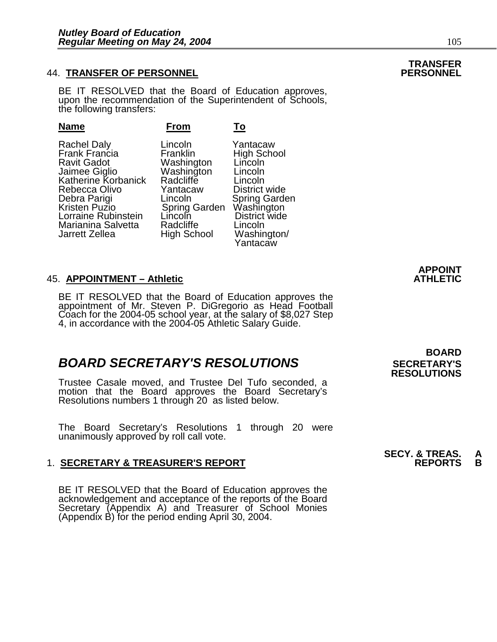### 44. **TRANSFER OF PERSONNEL PERSONNEL**

BE IT RESOLVED that the Board of Education approves, upon the recommendation of the Superintendent of Schools, the following transfers:

| <b>Name</b>           | From                 | <b>To</b>                   |
|-----------------------|----------------------|-----------------------------|
| Rachel Daly           | Lincoln              | Yantacaw                    |
| Frank Francia         | Franklin             | <b>High School</b>          |
| <b>Ravit Gadot</b>    | Washington           | Lincoln                     |
| Jaimee Giglio         | Washington           | Lincoln                     |
| Katherine Korbanick   | Radcliffe            | Lincoln                     |
| Rebecca Olivo         | Yantacaw             | District wide               |
| Debra Parigi          | Lincoln              | Spring Garden<br>Washington |
| Kristen Puzio         | <b>Spring Garden</b> | District wide               |
| Lorraine Rubinstein   | Lincolň              | Lincoln                     |
| Marianina Salvetta    | Radcliffe            | Washington/                 |
| <b>Jarrett Zellea</b> | <b>High School</b>   | Yantacaw                    |

#### **45. APPOINTMENT – Athletic**

BE IT RESOLVED that the Board of Education approves the appointment of Mr. Steven P. DiGregorio as Head Football Coach for the 2004-05 school year, at the salary of \$8,027 Step 4, in accordance with the 2004-05 Athletic Salary Guide.

### **BOARD SECRETARY'S RESOLUTIONS** SECRETARY'S

Trustee Casale moved, and Trustee Del Tufo seconded, a motion that the Board approves the Board Secretary's Resolutions numbers 1 through 20 as listed below.

The Board Secretary's Resolutions 1 through 20 were unanimously approved by roll call vote.

#### 1. **SECRETARY & TREASURER'S REPORT**

 BE IT RESOLVED that the Board of Education approves the acknowledgement and acceptance of the reports of the Board Secretary (Appendix A) and Treasurer of School Monies (Appendix B) for the period ending April 30, 2004.

### **BOARD RESOLUTIONS**

**APPOINT** 

**SECY. & TREAS. A<br>REPORTS B** 

## **TRANSFER**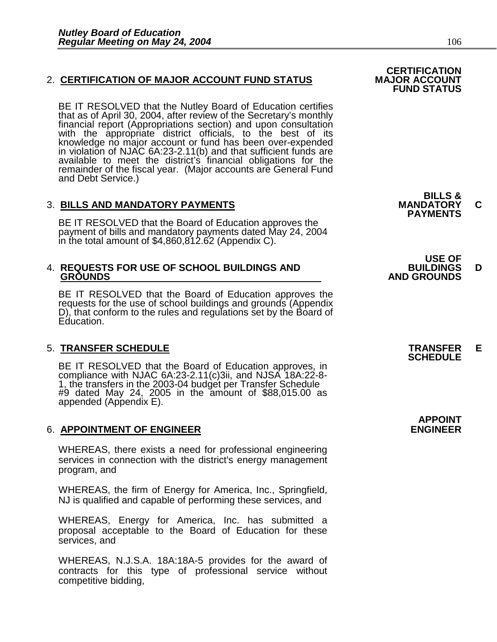### 2. CERTIFICATION OF MAJOR ACCOUNT FUND STATUS

BE IT RESOLVED that the Nutley Board of Education certifies that as of April 30, 2004, after review of the Secretary's monthly financial report (Appropriations section) and upon consultation with the appropriate district officials, to the best of its knowledge no major account or fund has been over-expended in violation of NJAC 6A:23-2.11(b) and that sufficient funds are available to meet the district's financial obligations for the remainder of the fiscal year. (Major accounts are General Fund and Debt Service.)

### 3. **BILLS AND MANDATORY PAYMENTS MANDATORY C PAYMENTS**

BE IT RESOLVED that the Board of Education approves the payment of bills and mandatory payments dated May 24, 2004 in the total amount of \$4,860,812.62 (Appendix C).

## 4. **REQUESTS FOR USE OF SCHOOL BUILDINGS AND BUILDINGS D**

BE IT RESOLVED that the Board of Education approves the requests for the use of school buildings and grounds (Appendix D), that conform to the rules and regulations set by the Board of Education.

### 5. **TRANSFER SCHEDULE TRANSFER E SCHEDULE**

BE IT RESOLVED that the Board of Education approves, in compliance with NJAC 6A:23-2.11(c)3ii, and NJSA 18A:22-8- 1, the transfers in the 2003-04 budget per Transfer Schedule #9 dated May 24, 2005 in the amount of \$88,015.00 as appended (Appendix E).

#### **6. APPOINTMENT OF ENGINEER**

WHEREAS, there exists a need for professional engineering services in connection with the district's energy management program, and

WHEREAS, the firm of Energy for America, Inc., Springfield, NJ is qualified and capable of performing these services, and

WHEREAS, Energy for America, Inc. has submitted a proposal acceptable to the Board of Education for these services, and

WHEREAS, N.J.S.A. 18A:18A-5 provides for the award of contracts for this type of professional service without competitive bidding,

**FUND STATUS** 

**BILLS &** 

 **USE OF GROUNDS AND GROUNDS** 

**APPOINT**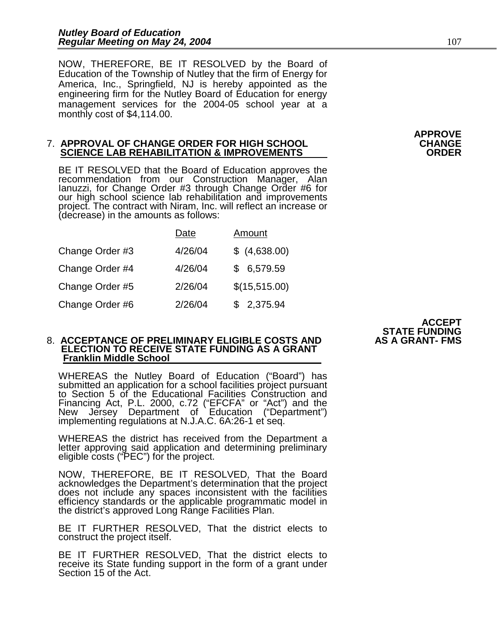NOW, THEREFORE, BE IT RESOLVED by the Board of Education of the Township of Nutley that the firm of Energy for America, Inc., Springfield, NJ is hereby appointed as the engineering firm for the Nutley Board of Education for energy management services for the 2004-05 school year at a monthly cost of \$4,114.00.

#### 7. **APPROVAL OF CHANGE ORDER FOR HIGH SCHOOL CHANGE SCIENCE LAB REHABILITATION & IMPROVEMENTS**

BE IT RESOLVED that the Board of Education approves the recommendation from our Construction Manager, Alan Ianuzzi, for Change Order #3 through Change Order #6 for our high school science lab rehabilitation and improvements project. The contract with Niram, Inc. will reflect an increase or (decrease) in the amounts as follows:

|                 | Date    | Amount        |
|-----------------|---------|---------------|
| Change Order #3 | 4/26/04 | \$(4,638.00)  |
| Change Order #4 | 4/26/04 | \$6,579.59    |
| Change Order #5 | 2/26/04 | \$(15,515.00) |
| Change Order #6 | 2/26/04 | \$2,375.94    |

#### 8. ACCEPTANCE OF PRELIMINARY ELIGIBLE COSTS AND  **ELECTION TO RECEIVE STATE FUNDING AS A GRANT Franklin Middle School**

WHEREAS the Nutley Board of Education ("Board") has submitted an application for a school facilities project pursuant to Section 5 of the Educational Facilities Construction and Financing Act, P.L. 2000, c.72 ("EFCFA" or "Act") and the New Jersey Department of Education ("Department") implementing regulations at N.J.A.C. 6A:26-1 et seq.

WHEREAS the district has received from the Department a letter approving said application and determining preliminary eligible costs ("PEC") for the project.

NOW, THEREFORE, BE IT RESOLVED, That the Board acknowledges the Department's determination that the project does not include any spaces inconsistent with the facilities efficiency standards or the applicable programmatic model in the district's approved Long Range Facilities Plan.

BE IT FURTHER RESOLVED, That the district elects to construct the project itself.

BE IT FURTHER RESOLVED, That the district elects to receive its State funding support in the form of a grant under Section 15 of the Act.

**APPROVE** 

**ACCEPT STATE FUNDING**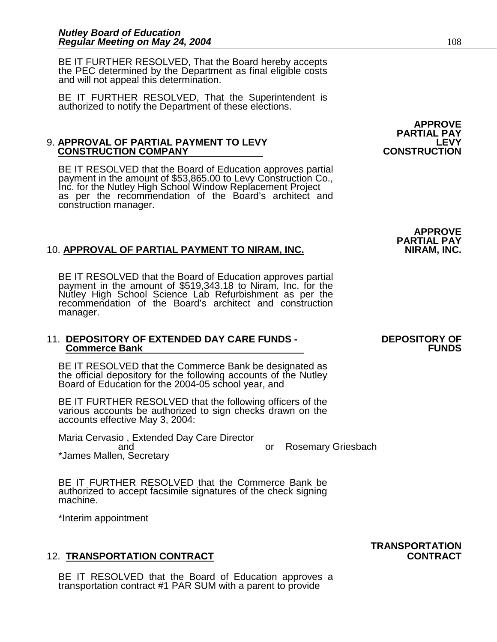BE IT FURTHER RESOLVED, That the Board hereby accepts the PEC determined by the Department as final eligible costs and will not appeal this determination.

BE IT FURTHER RESOLVED, That the Superintendent is authorized to notify the Department of these elections.

#### 9. **APPROVAL OF PARTIAL PAYMENT TO LEVY LEVY CONSTRUCTION COMPANY**

BE IT RESOLVED that the Board of Education approves partial payment in the amount of \$53,865.00 to Levy Construction Co., Inc. for the Nutley High School Window Replacement Project as per the recommendation of the Board's architect and construction manager.

### 10. APPROVAL OF PARTIAL PAYMENT TO NIRAM, INC.

BE IT RESOLVED that the Board of Education approves partial payment in the amount of \$519,343.18 to Niram, Inc. for the Nutley High School Science Lab Refurbishment as per the recommendation of the Board's architect and construction manager.

#### 11. **DEPOSITORY OF EXTENDED DAY CARE FUNDS - DEPOSITORY OF Commerce Bank**

BE IT RESOLVED that the Commerce Bank be designated as the official depository for the following accounts of the Nutley Board of Education for the 2004-05 school year, and

BE IT FURTHER RESOLVED that the following officers of the various accounts be authorized to sign checks drawn on the accounts effective May 3, 2004:

Maria Cervasio , Extended Day Care Director and or Rosemary Griesbach \*James Mallen, Secretary

BE IT FURTHER RESOLVED that the Commerce Bank be authorized to accept facsimile signatures of the check signing machine.

\*Interim appointment

#### 12. **TRANSPORTATION CONTRACT CONTRACT**

BE IT RESOLVED that the Board of Education approves a transportation contract #1 PAR SUM with a parent to provide

APPROVE<br>PARTIAL PAY<br>LEVY

**APPROVE PARTIAL PAY** 

**TRANSPORTATION**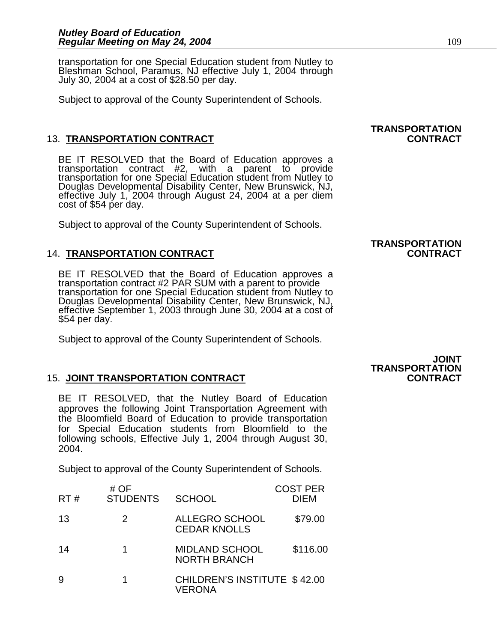transportation for one Special Education student from Nutley to Bleshman School, Paramus, NJ effective July 1, 2004 through July 30, 2004 at a cost of \$28.50 per day.

Subject to approval of the County Superintendent of Schools.

### 13. **TRANSPORTATION CONTRACT CONTRACT**

BE IT RESOLVED that the Board of Education approves a transportation contract #2, with a parent to provide transportation for one Special Education student from Nutley to Douglas Developmental Disability Center, New Brunswick, NJ, effective July 1, 2004 through August 24, 2004 at a per diem cost of \$54 per day.

Subject to approval of the County Superintendent of Schools.

### 14. **TRANSPORTATION CONTRACT CONTRACT**

BE IT RESOLVED that the Board of Education approves a transportation contract #2 PAR SUM with a parent to provide transportation for one Special Education student from Nutley to Douglas Developmental Disability Center, New Brunswick, NJ, effective September 1, 2003 through June 30, 2004 at a cost of \$54 per day.

Subject to approval of the County Superintendent of Schools.

#### 15. **JOINT TRANSPORTATION CONTRACT CONTRACT**

BE IT RESOLVED, that the Nutley Board of Education approves the following Joint Transportation Agreement with the Bloomfield Board of Education to provide transportation for Special Education students from Bloomfield to the following schools, Effective July 1, 2004 through August 30, 2004.

Subject to approval of the County Superintendent of Schools.

| RT# | # $OF$<br><b>STUDENTS</b> | <b>SCHOOL</b>                                 | <b>COST PER</b><br><b>DIEM</b> |
|-----|---------------------------|-----------------------------------------------|--------------------------------|
| 13  | 2                         | ALLEGRO SCHOOL<br><b>CEDAR KNOLLS</b>         | \$79.00                        |
| 14  |                           | <b>MIDLAND SCHOOL</b><br><b>NORTH BRANCH</b>  | \$116.00                       |
|     |                           | CHILDREN'S INSTITUTE \$42.00<br><b>VERONA</b> |                                |

# **TRANSPORTATION**

**TRANSPORTATION** 

### **JOINT TRANSPORTATION**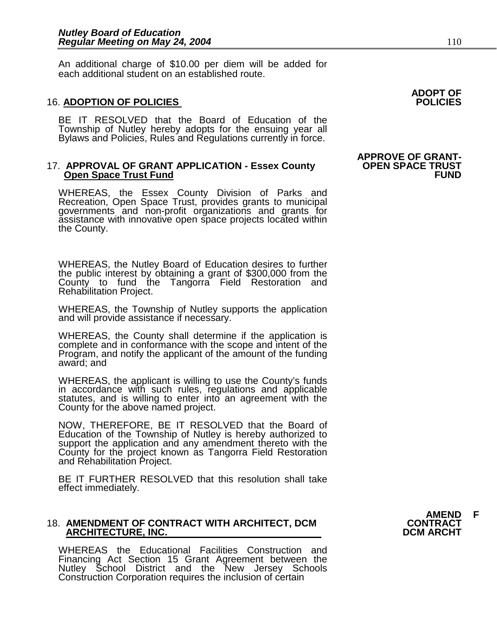An additional charge of \$10.00 per diem will be added for each additional student on an established route.

#### 16. **ADOPTION OF POLICIES POLICIES**

BE IT RESOLVED that the Board of Education of the Township of Nutley hereby adopts for the ensuing year all Bylaws and Policies, Rules and Regulations currently in force.

#### 17. **APPROVAL OF GRANT APPLICATION - Essex County OPEN SPACE TRUST<br>Open Space Trust Fund<br>FUND Open Space Trust Fund**

WHEREAS, the Essex County Division of Parks and Recreation, Open Space Trust, provides grants to municipal governments and non-profit organizations and grants for assistance with innovative open space projects located within the County.

WHEREAS, the Nutley Board of Education desires to further the public interest by obtaining a grant of \$300,000 from the County to fund the Tangorra Field Restoration and Rehabilitation Project.

WHEREAS, the Township of Nutley supports the application and will provide assistance if necessary.

WHEREAS, the County shall determine if the application is complete and in conformance with the scope and intent of the Program, and notify the applicant of the amount of the funding award; and

WHEREAS, the applicant is willing to use the County's funds in accordance with such rules, regulations and applicable statutes, and is willing to enter into an agreement with the County for the above named project.

NOW, THEREFORE, BE IT RESOLVED that the Board of Education of the Township of Nutley is hereby authorized to support the application and any amendment thereto with the County for the project known as Tangorra Field Restoration and Rehabilitation Project.

BE IT FURTHER RESOLVED that this resolution shall take effect immediately.

#### 18. **AMENDMENT OF CONTRACT WITH ARCHITECT, DCM CONTRACT ARCHITECTURE, INC.**

WHEREAS the Educational Facilities Construction and Financing Act Section 15 Grant Agreement between the Nutley School District and the New Jersey Schools Construction Corporation requires the inclusion of certain

**ADOPT OF** 

# **APPROVE OF GRANT-**

**AMEND F**<br>CONTRACT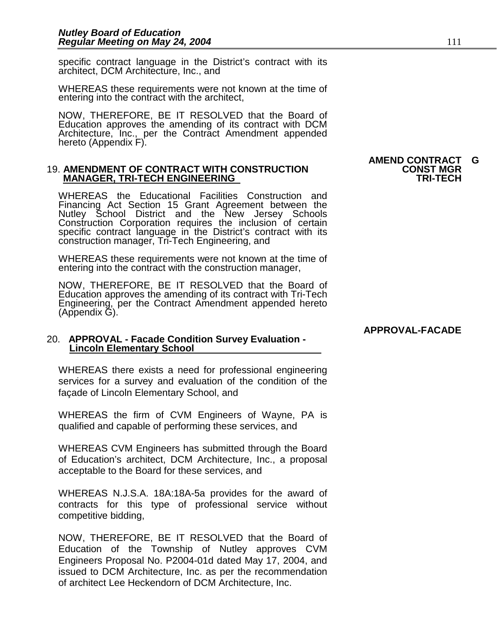specific contract language in the District's contract with its architect, DCM Architecture, Inc., and

WHEREAS these requirements were not known at the time of entering into the contract with the architect,

NOW, THEREFORE, BE IT RESOLVED that the Board of Education approves the amending of its contract with DCM Architecture, Inc., per the Contract Amendment appended hereto (Appendix F).

#### 19. **AMENDMENT OF CONTRACT WITH CONSTRUCTION CONST MGR MANAGER, TRI-TECH ENGINEERING**

WHEREAS the Educational Facilities Construction and Financing Act Section 15 Grant Agreement between the Nutley School District and the New Jersey Schools Construction Corporation requires the inclusion of certain specific contract language in the District's contract with its construction manager, Tri-Tech Engineering, and

WHEREAS these requirements were not known at the time of entering into the contract with the construction manager,

NOW, THEREFORE, BE IT RESOLVED that the Board of Education approves the amending of its contract with Tri-Tech Engineering, per the Contract Amendment appended hereto (Appendix G).

## 20. **APPROVAL - Facade Condition Survey Evaluation - Lincoln Elementary School**

WHEREAS there exists a need for professional engineering services for a survey and evaluation of the condition of the façade of Lincoln Elementary School, and

WHEREAS the firm of CVM Engineers of Wayne, PA is qualified and capable of performing these services, and

WHEREAS CVM Engineers has submitted through the Board of Education's architect, DCM Architecture, Inc., a proposal acceptable to the Board for these services, and

WHEREAS N.J.S.A. 18A:18A-5a provides for the award of contracts for this type of professional service without competitive bidding,

NOW, THEREFORE, BE IT RESOLVED that the Board of Education of the Township of Nutley approves CVM Engineers Proposal No. P2004-01d dated May 17, 2004, and issued to DCM Architecture, Inc. as per the recommendation of architect Lee Heckendorn of DCM Architecture, Inc.

# **AMEND CONTRACT G**

#### **APPROVAL-FACADE**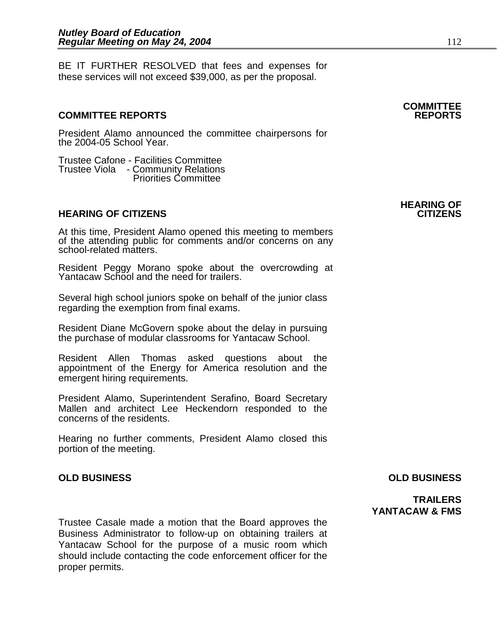BE IT FURTHER RESOLVED that fees and expenses for these services will not exceed \$39,000, as per the proposal.

#### **COMMITTEE REPORTS REPORTS**

President Alamo announced the committee chairpersons for the 2004-05 School Year.

Trustee Cafone - Facilities Committee Trustee Viola - Community Relations Priorities Committee

#### **HEARING OF CITIZENS**

At this time, President Alamo opened this meeting to members of the attending public for comments and/or concerns on any school-related matters.

Resident Peggy Morano spoke about the overcrowding at Yantacaw School and the need for trailers.

Several high school juniors spoke on behalf of the junior class regarding the exemption from final exams.

Resident Diane McGovern spoke about the delay in pursuing the purchase of modular classrooms for Yantacaw School.

Resident Allen Thomas asked questions about the appointment of the Energy for America resolution and the emergent hiring requirements.

President Alamo, Superintendent Serafino, Board Secretary Mallen and architect Lee Heckendorn responded to the concerns of the residents.

Hearing no further comments, President Alamo closed this portion of the meeting.

Trustee Casale made a motion that the Board approves the Business Administrator to follow-up on obtaining trailers at Yantacaw School for the purpose of a music room which should include contacting the code enforcement officer for the proper permits.

**HEARING OF** 

**COMMITTEE** 

#### **OLD BUSINESS OLD BUSINESS**

**TRAILERS YANTACAW & FMS**